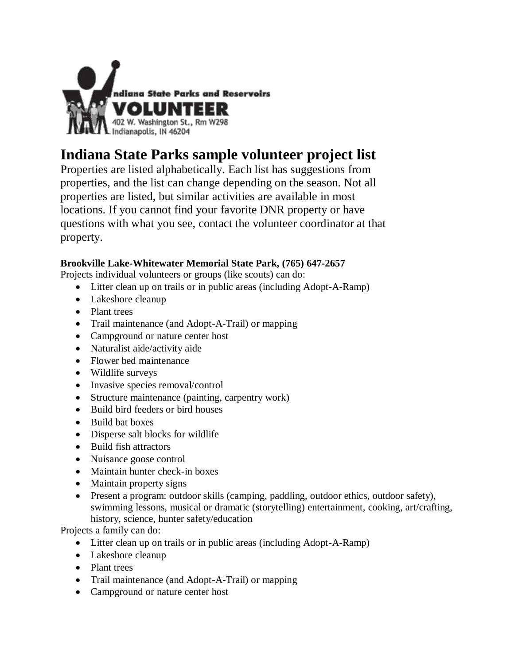

# **Indiana State Parks sample volunteer project list**

Properties are listed alphabetically. Each list has suggestions from properties, and the list can change depending on the season. Not all properties are listed, but similar activities are available in most locations. If you cannot find your favorite DNR property or have questions with what you see, contact the volunteer coordinator at that property.

# **Brookville Lake-Whitewater Memorial State Park, (765) 647-2657**

Projects individual volunteers or groups (like scouts) can do:

- Litter clean up on trails or in public areas (including Adopt-A-Ramp)
- Lakeshore cleanup
- Plant trees
- Trail maintenance (and Adopt-A-Trail) or mapping
- Campground or nature center host
- Naturalist aide/activity aide
- Flower bed maintenance
- Wildlife surveys
- Invasive species removal/control
- Structure maintenance (painting, carpentry work)
- Build bird feeders or bird houses
- Build bat boxes
- Disperse salt blocks for wildlife
- Build fish attractors
- Nuisance goose control
- Maintain hunter check-in boxes
- Maintain property signs
- Present a program: outdoor skills (camping, paddling, outdoor ethics, outdoor safety), swimming lessons, musical or dramatic (storytelling) entertainment, cooking, art/crafting, history, science, hunter safety/education

- Litter clean up on trails or in public areas (including Adopt-A-Ramp)
- Lakeshore cleanup
- Plant trees
- Trail maintenance (and Adopt-A-Trail) or mapping
- Campground or nature center host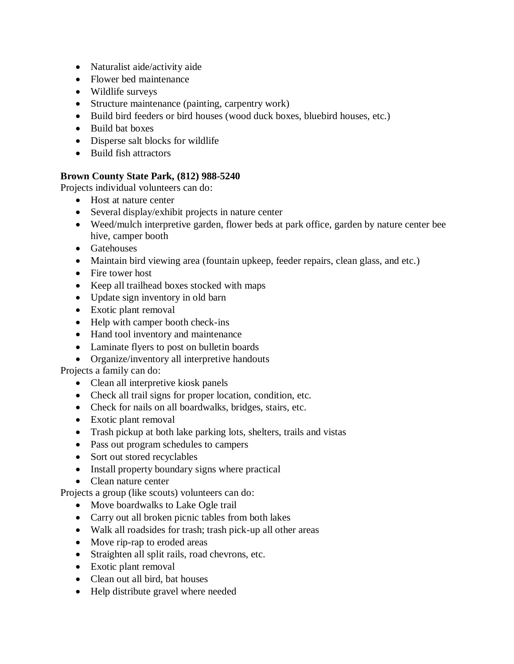- Naturalist aide/activity aide
- Flower bed maintenance
- Wildlife surveys
- Structure maintenance (painting, carpentry work)
- Build bird feeders or bird houses (wood duck boxes, bluebird houses, etc.)
- Build bat boxes
- Disperse salt blocks for wildlife
- Build fish attractors

# **Brown County State Park, (812) 988-5240**

Projects individual volunteers can do:

- Host at nature center
- Several display/exhibit projects in nature center
- Weed/mulch interpretive garden, flower beds at park office, garden by nature center bee hive, camper booth
- Gatehouses
- Maintain bird viewing area (fountain upkeep, feeder repairs, clean glass, and etc.)
- Fire tower host
- Keep all trailhead boxes stocked with maps
- Update sign inventory in old barn
- Exotic plant removal
- Help with camper booth check-ins
- Hand tool inventory and maintenance
- Laminate flyers to post on bulletin boards
- Organize/inventory all interpretive handouts

Projects a family can do:

- Clean all interpretive kiosk panels
- Check all trail signs for proper location, condition, etc.
- Check for nails on all boardwalks, bridges, stairs, etc.
- Exotic plant removal
- Trash pickup at both lake parking lots, shelters, trails and vistas
- Pass out program schedules to campers
- Sort out stored recyclables
- Install property boundary signs where practical
- Clean nature center

Projects a group (like scouts) volunteers can do:

- Move boardwalks to Lake Ogle trail
- Carry out all broken picnic tables from both lakes
- Walk all roadsides for trash; trash pick-up all other areas
- Move rip-rap to eroded areas
- Straighten all split rails, road chevrons, etc.
- Exotic plant removal
- Clean out all bird, bat houses
- Help distribute gravel where needed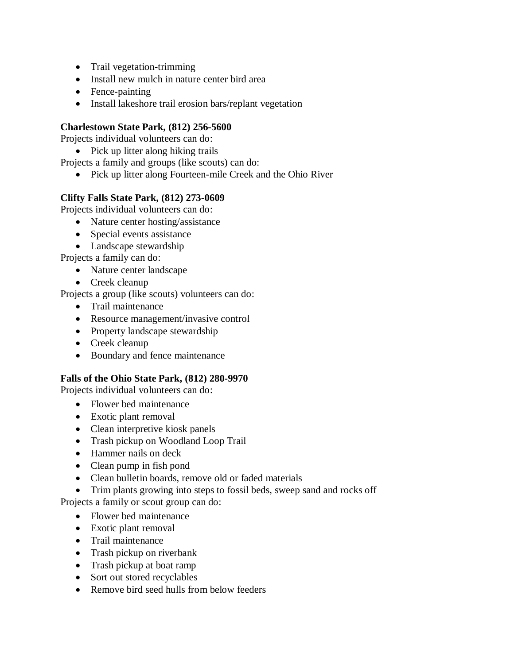- Trail vegetation-trimming
- Install new mulch in nature center bird area
- Fence-painting
- Install lakeshore trail erosion bars/replant vegetation

# **Charlestown State Park, (812) 256-5600**

Projects individual volunteers can do:

• Pick up litter along hiking trails

Projects a family and groups (like scouts) can do:

• Pick up litter along Fourteen-mile Creek and the Ohio River

# **Clifty Falls State Park, (812) 273-0609**

Projects individual volunteers can do:

- Nature center hosting/assistance
- Special events assistance
- Landscape stewardship

Projects a family can do:

- Nature center landscape
- Creek cleanup

Projects a group (like scouts) volunteers can do:

- **•** Trail maintenance
- Resource management/invasive control
- Property landscape stewardship
- Creek cleanup
- Boundary and fence maintenance

# **Falls of the Ohio State Park, (812) 280-9970**

Projects individual volunteers can do:

- Flower bed maintenance
- Exotic plant removal
- Clean interpretive kiosk panels
- Trash pickup on Woodland Loop Trail
- Hammer nails on deck
- Clean pump in fish pond
- Clean bulletin boards, remove old or faded materials
- Trim plants growing into steps to fossil beds, sweep sand and rocks off

Projects a family or scout group can do:

- Flower bed maintenance
- Exotic plant removal
- Trail maintenance
- Trash pickup on riverbank
- Trash pickup at boat ramp
- Sort out stored recyclables
- Remove bird seed hulls from below feeders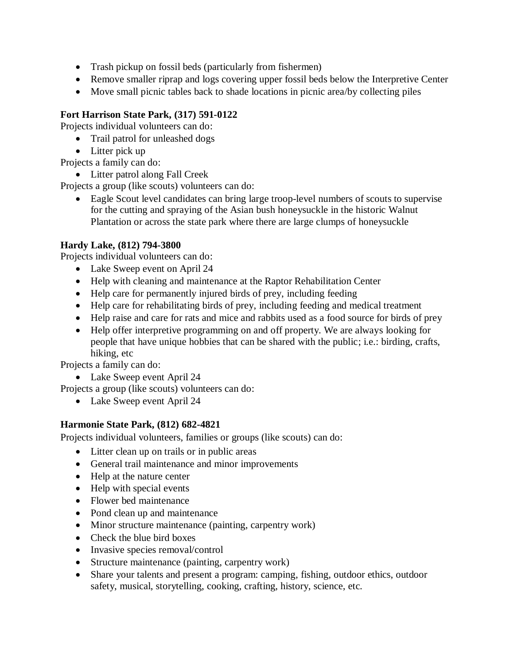- Trash pickup on fossil beds (particularly from fishermen)
- Remove smaller riprap and logs covering upper fossil beds below the Interpretive Center
- Move small picnic tables back to shade locations in picnic area/by collecting piles

# **Fort Harrison State Park, (317) 591-0122**

Projects individual volunteers can do:

- Trail patrol for unleashed dogs
- Litter pick up
- Projects a family can do:
	- Litter patrol along Fall Creek

Projects a group (like scouts) volunteers can do:

 Eagle Scout level candidates can bring large troop-level numbers of scouts to supervise for the cutting and spraying of the Asian bush honeysuckle in the historic Walnut Plantation or across the state park where there are large clumps of honeysuckle

# **Hardy Lake, (812) 794-3800**

Projects individual volunteers can do:

- Lake Sweep event on April 24
- Help with cleaning and maintenance at the Raptor Rehabilitation Center
- Help care for permanently injured birds of prey, including feeding
- Help care for rehabilitating birds of prey, including feeding and medical treatment
- Help raise and care for rats and mice and rabbits used as a food source for birds of prey
- Help offer interpretive programming on and off property. We are always looking for people that have unique hobbies that can be shared with the public; i.e.: birding, crafts, hiking, etc

Projects a family can do:

• Lake Sweep event April 24

Projects a group (like scouts) volunteers can do:

• Lake Sweep event April 24

# **Harmonie State Park, (812) 682-4821**

Projects individual volunteers, families or groups (like scouts) can do:

- Litter clean up on trails or in public areas
- General trail maintenance and minor improvements
- Help at the nature center
- Help with special events
- Flower bed maintenance
- Pond clean up and maintenance
- Minor structure maintenance (painting, carpentry work)
- Check the blue bird boxes
- Invasive species removal/control
- Structure maintenance (painting, carpentry work)
- Share your talents and present a program: camping, fishing, outdoor ethics, outdoor safety, musical, storytelling, cooking, crafting, history, science, etc.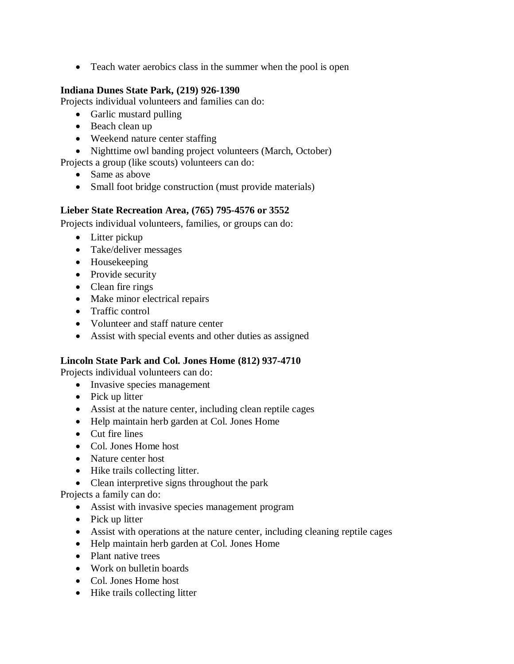• Teach water aerobics class in the summer when the pool is open

# **Indiana Dunes State Park, (219) 926-1390**

Projects individual volunteers and families can do:

- Garlic mustard pulling
- Beach clean up
- Weekend nature center staffing
- Nighttime owl banding project volunteers (March, October)
- Projects a group (like scouts) volunteers can do:
	- Same as above
	- Small foot bridge construction (must provide materials)

#### **Lieber State Recreation Area, (765) 795-4576 or 3552**

Projects individual volunteers, families, or groups can do:

- Litter pickup
- Take/deliver messages
- Housekeeping
- Provide security
- Clean fire rings
- Make minor electrical repairs
- Traffic control
- Volunteer and staff nature center
- Assist with special events and other duties as assigned

#### **Lincoln State Park and Col. Jones Home (812) 937-4710**

Projects individual volunteers can do:

- Invasive species management
- Pick up litter
- Assist at the nature center, including clean reptile cages
- Help maintain herb garden at Col. Jones Home
- Cut fire lines
- Col. Jones Home host
- Nature center host
- Hike trails collecting litter.
- Clean interpretive signs throughout the park

- Assist with invasive species management program
- Pick up litter
- Assist with operations at the nature center, including cleaning reptile cages
- Help maintain herb garden at Col. Jones Home
- Plant native trees
- Work on bulletin boards
- Col. Jones Home host
- Hike trails collecting litter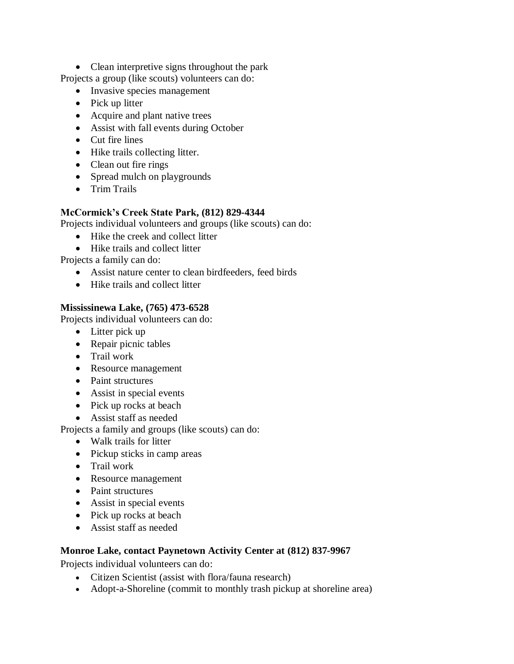• Clean interpretive signs throughout the park

Projects a group (like scouts) volunteers can do:

- Invasive species management
- Pick up litter
- Acquire and plant native trees
- Assist with fall events during October
- Cut fire lines
- Hike trails collecting litter.
- Clean out fire rings
- Spread mulch on playgrounds
- Trim Trails

# **McCormick's Creek State Park, (812) 829-4344**

Projects individual volunteers and groups (like scouts) can do:

- Hike the creek and collect litter
- Hike trails and collect litter

Projects a family can do:

- Assist nature center to clean birdfeeders, feed birds
- Hike trails and collect litter

# **Mississinewa Lake, (765) 473-6528**

Projects individual volunteers can do:

- Litter pick up
- Repair picnic tables
- Trail work
- Resource management
- Paint structures
- Assist in special events
- Pick up rocks at beach
- Assist staff as needed

Projects a family and groups (like scouts) can do:

- Walk trails for litter
- Pickup sticks in camp areas
- Trail work
- Resource management
- Paint structures
- Assist in special events
- Pick up rocks at beach
- Assist staff as needed

# **Monroe Lake, contact Paynetown Activity Center at (812) 837-9967**

Projects individual volunteers can do:

- Citizen Scientist (assist with flora/fauna research)
- Adopt-a-Shoreline (commit to monthly trash pickup at shoreline area)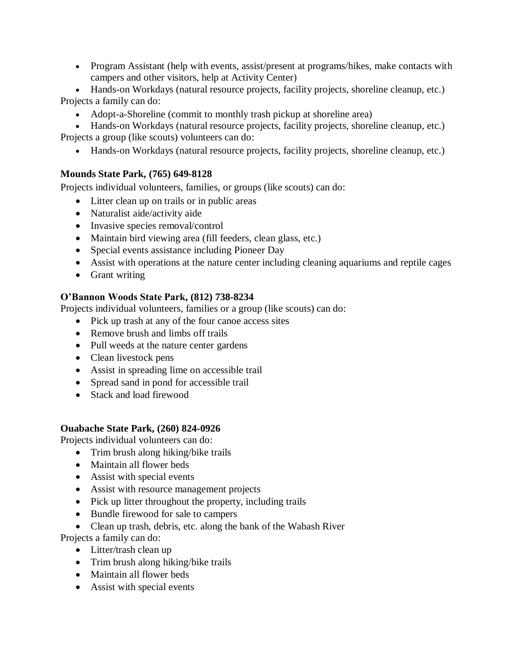- Program Assistant (help with events, assist/present at programs/hikes, make contacts with campers and other visitors, help at Activity Center)
- Hands-on Workdays (natural resource projects, facility projects, shoreline cleanup, etc.) Projects a family can do:
	- Adopt-a-Shoreline (commit to monthly trash pickup at shoreline area)

 Hands-on Workdays (natural resource projects, facility projects, shoreline cleanup, etc.) Projects a group (like scouts) volunteers can do:

Hands-on Workdays (natural resource projects, facility projects, shoreline cleanup, etc.)

# **Mounds State Park, (765) 649-8128**

Projects individual volunteers, families, or groups (like scouts) can do:

- Litter clean up on trails or in public areas
- Naturalist aide/activity aide
- Invasive species removal/control
- Maintain bird viewing area (fill feeders, clean glass, etc.)
- Special events assistance including Pioneer Day
- Assist with operations at the nature center including cleaning aquariums and reptile cages
- Grant writing

# **O'Bannon Woods State Park, (812) 738-8234**

Projects individual volunteers, families or a group (like scouts) can do:

- Pick up trash at any of the four canoe access sites
- Remove brush and limbs off trails
- Pull weeds at the nature center gardens
- Clean livestock pens
- Assist in spreading lime on accessible trail
- Spread sand in pond for accessible trail
- Stack and load firewood

# **Ouabache State Park, (260) 824-0926**

Projects individual volunteers can do:

- Trim brush along hiking/bike trails
- Maintain all flower beds
- Assist with special events
- Assist with resource management projects
- Pick up litter throughout the property, including trails
- Bundle firewood for sale to campers
- Clean up trash, debris, etc. along the bank of the Wabash River

- Litter/trash clean up
- Trim brush along hiking/bike trails
- Maintain all flower beds
- Assist with special events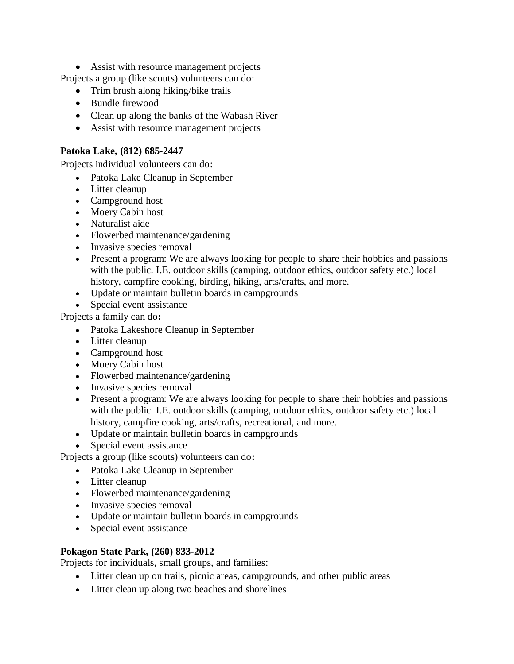• Assist with resource management projects

Projects a group (like scouts) volunteers can do:

- Trim brush along hiking/bike trails
- Bundle firewood
- Clean up along the banks of the Wabash River
- Assist with resource management projects

# **Patoka Lake, (812) 685-2447**

Projects individual volunteers can do:

- Patoka Lake Cleanup in September
- Litter cleanup
- Campground host
- Moery Cabin host
- Naturalist aide
- Flowerbed maintenance/gardening
- Invasive species removal
- Present a program: We are always looking for people to share their hobbies and passions with the public. I.E. outdoor skills (camping, outdoor ethics, outdoor safety etc.) local history, campfire cooking, birding, hiking, arts/crafts, and more.
- Update or maintain bulletin boards in campgrounds
- Special event assistance

Projects a family can do**:**

- Patoka Lakeshore Cleanup in September
- Litter cleanup
- Campground host
- Moery Cabin host
- Flowerbed maintenance/gardening
- Invasive species removal
- Present a program: We are always looking for people to share their hobbies and passions with the public. I.E. outdoor skills (camping, outdoor ethics, outdoor safety etc.) local history, campfire cooking, arts/crafts, recreational, and more.
- Update or maintain bulletin boards in campgrounds
- Special event assistance

Projects a group (like scouts) volunteers can do**:**

- Patoka Lake Cleanup in September
- Litter cleanup
- Flowerbed maintenance/gardening
- Invasive species removal
- Update or maintain bulletin boards in campgrounds
- Special event assistance

# **Pokagon State Park, (260) 833-2012**

Projects for individuals, small groups, and families:

- Litter clean up on trails, picnic areas, campgrounds, and other public areas
- Litter clean up along two beaches and shorelines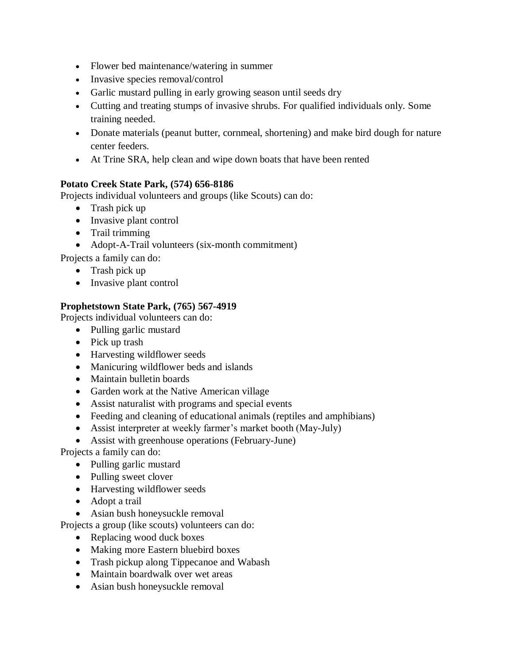- Flower bed maintenance/watering in summer
- Invasive species removal/control
- Garlic mustard pulling in early growing season until seeds dry
- Cutting and treating stumps of invasive shrubs. For qualified individuals only. Some training needed.
- Donate materials (peanut butter, cornmeal, shortening) and make bird dough for nature center feeders.
- At Trine SRA, help clean and wipe down boats that have been rented

# **Potato Creek State Park, (574) 656-8186**

Projects individual volunteers and groups (like Scouts) can do:

- Trash pick up
- Invasive plant control
- Trail trimming
- Adopt-A-Trail volunteers (six-month commitment)

Projects a family can do:

- Trash pick up
- Invasive plant control

# **Prophetstown State Park, (765) 567-4919**

Projects individual volunteers can do:

- Pulling garlic mustard
- Pick up trash
- Harvesting wildflower seeds
- Manicuring wildflower beds and islands
- Maintain bulletin boards
- Garden work at the Native American village
- Assist naturalist with programs and special events
- Feeding and cleaning of educational animals (reptiles and amphibians)
- Assist interpreter at weekly farmer's market booth (May-July)

Assist with greenhouse operations (February-June)

Projects a family can do:

- Pulling garlic mustard
- Pulling sweet clover
- Harvesting wildflower seeds
- Adopt a trail
- Asian bush honeysuckle removal

Projects a group (like scouts) volunteers can do:

- Replacing wood duck boxes
- Making more Eastern bluebird boxes
- Trash pickup along Tippecanoe and Wabash
- Maintain boardwalk over wet areas
- Asian bush honeysuckle removal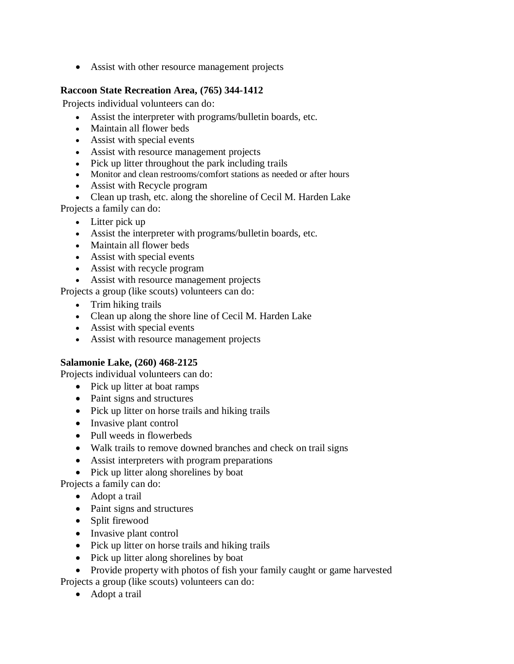Assist with other resource management projects

# **Raccoon State Recreation Area, (765) 344-1412**

Projects individual volunteers can do:

- Assist the interpreter with programs/bulletin boards, etc.
- Maintain all flower beds
- Assist with special events
- Assist with resource management projects
- Pick up litter throughout the park including trails
- Monitor and clean restrooms/comfort stations as needed or after hours
- Assist with Recycle program
- Clean up trash, etc. along the shoreline of Cecil M. Harden Lake Projects a family can do:
	- Litter pick up
	- Assist the interpreter with programs/bulletin boards, etc.
	- Maintain all flower beds
	- Assist with special events
	- Assist with recycle program
	- Assist with resource management projects

Projects a group (like scouts) volunteers can do:

- Trim hiking trails
- Clean up along the shore line of Cecil M. Harden Lake
- Assist with special events
- Assist with resource management projects

#### **Salamonie Lake, (260) 468-2125**

Projects individual volunteers can do:

- Pick up litter at boat ramps
- Paint signs and structures
- Pick up litter on horse trails and hiking trails
- Invasive plant control
- Pull weeds in flowerbeds
- Walk trails to remove downed branches and check on trail signs
- Assist interpreters with program preparations
- Pick up litter along shorelines by boat

Projects a family can do:

- Adopt a trail
- Paint signs and structures
- Split firewood
- Invasive plant control
- Pick up litter on horse trails and hiking trails
- Pick up litter along shorelines by boat

• Provide property with photos of fish your family caught or game harvested Projects a group (like scouts) volunteers can do:

• Adopt a trail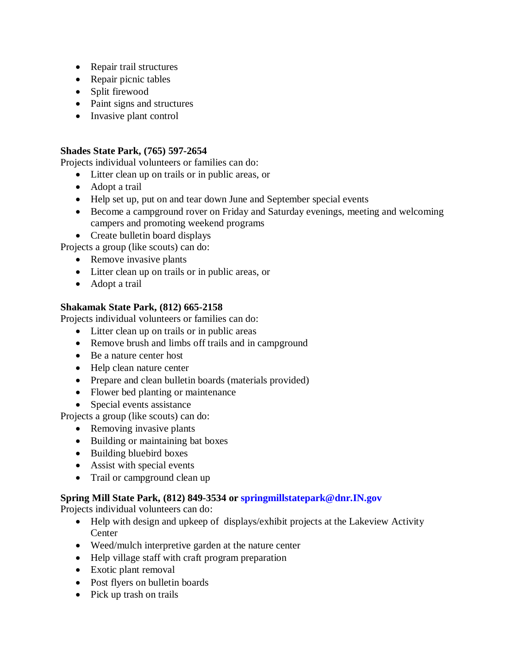- Repair trail structures
- Repair picnic tables
- Split firewood
- Paint signs and structures
- Invasive plant control

# **Shades State Park, (765) 597-2654**

Projects individual volunteers or families can do:

- Litter clean up on trails or in public areas, or
- Adopt a trail
- Help set up, put on and tear down June and September special events
- Become a campground rover on Friday and Saturday evenings, meeting and welcoming campers and promoting weekend programs
- Create bullet in board displays

Projects a group (like scouts) can do:

- Remove invasive plants
- Litter clean up on trails or in public areas, or
- Adopt a trail

# **Shakamak State Park, (812) 665-2158**

Projects individual volunteers or families can do:

- Litter clean up on trails or in public areas
- Remove brush and limbs off trails and in campground
- Be a nature center host
- Help clean nature center
- Prepare and clean bulletin boards (materials provided)
- Flower bed planting or maintenance
- Special events assistance

Projects a group (like scouts) can do:

- Removing invasive plants
- Building or maintaining bat boxes
- Building bluebird boxes
- Assist with special events
- Trail or campground clean up

# **Spring Mill State Park, (812) 849-3534 o[r springmillstatepark@dnr.IN.gov](mailto:springmillstatepark@dnr.IN.gov)**

Projects individual volunteers can do:

- Help with design and upkeep of displays/exhibit projects at the Lakeview Activity **Center**
- Weed/mulch interpretive garden at the nature center
- Help village staff with craft program preparation
- Exotic plant removal
- Post flyers on bulletin boards
- Pick up trash on trails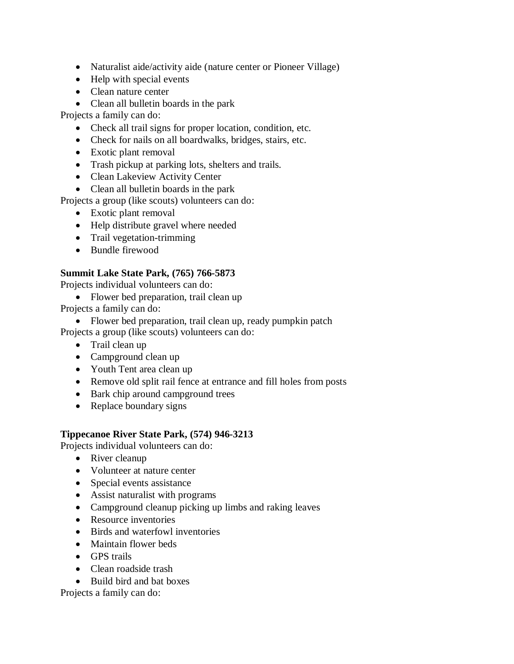- Naturalist aide/activity aide (nature center or Pioneer Village)
- Help with special events
- Clean nature center
- Clean all bullet in boards in the park

Projects a family can do:

- Check all trail signs for proper location, condition, etc.
- Check for nails on all boardwalks, bridges, stairs, etc.
- Exotic plant removal
- Trash pickup at parking lots, shelters and trails.
- Clean Lakeview Activity Center
- Clean all bullet in boards in the park

Projects a group (like scouts) volunteers can do:

- Exotic plant removal
- Help distribute gravel where needed
- Trail vegetation-trimming
- Bundle firewood

# **Summit Lake State Park, (765) 766-5873**

Projects individual volunteers can do:

- Flower bed preparation, trail clean up Projects a family can do:
	- Flower bed preparation, trail clean up, ready pumpkin patch

Projects a group (like scouts) volunteers can do:

- Trail clean up
- Campground clean up
- Youth Tent area clean up
- Remove old split rail fence at entrance and fill holes from posts
- Bark chip around campground trees
- Replace boundary signs

# **Tippecanoe River State Park, (574) 946-3213**

Projects individual volunteers can do:

- River cleanup
- Volunteer at nature center
- Special events assistance
- Assist naturalist with programs
- Campground cleanup picking up limbs and raking leaves
- Resource inventories
- Birds and waterfowl inventories
- Maintain flower beds
- GPS trails
- Clean roadside trash
- Build bird and bat boxes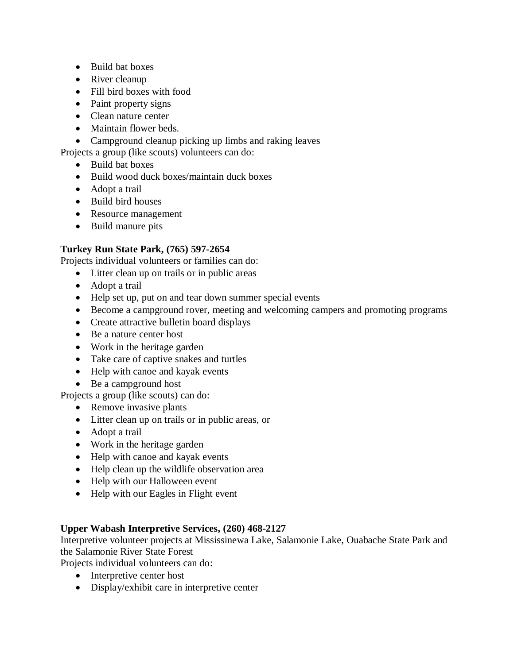- Build bat boxes
- River cleanup
- Fill bird boxes with food
- Paint property signs
- Clean nature center
- Maintain flower beds.
- Campground cleanup picking up limbs and raking leaves

Projects a group (like scouts) volunteers can do:

- Build bat boxes
- Build wood duck boxes/maintain duck boxes
- Adopt a trail
- Build bird houses
- Resource management
- Build manure pits

# **Turkey Run State Park, (765) 597-2654**

Projects individual volunteers or families can do:

- Litter clean up on trails or in public areas
- Adopt a trail
- Help set up, put on and tear down summer special events
- Become a campground rover, meeting and welcoming campers and promoting programs
- Create attractive bulletin board displays
- Be a nature center host
- Work in the heritage garden
- Take care of captive snakes and turtles
- Help with canoe and kayak events
- Be a campground host

Projects a group (like scouts) can do:

- Remove invasive plants
- Litter clean up on trails or in public areas, or
- Adopt a trail
- Work in the heritage garden
- Help with canoe and kayak events
- Help clean up the wildlife observation area
- Help with our Halloween event
- Help with our Eagles in Flight event

# **Upper Wabash Interpretive Services, (260) 468-2127**

Interpretive volunteer projects at Mississinewa Lake, Salamonie Lake, Ouabache State Park and the Salamonie River State Forest

Projects individual volunteers can do:

- Interpretive center host
- Display/exhibit care in interpretive center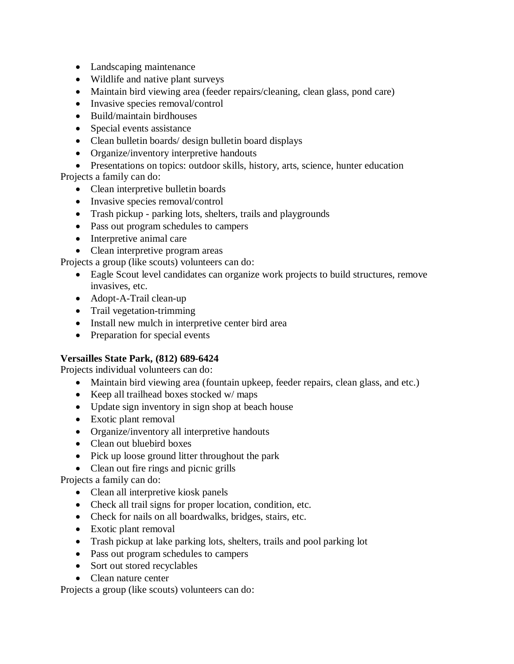- Landscaping maintenance
- Wildlife and native plant surveys
- Maintain bird viewing area (feeder repairs/cleaning, clean glass, pond care)
- Invasive species removal/control
- Build/maintain birdhouses
- Special events assistance
- Clean bulletin boards/ design bulletin board displays
- Organize/inventory interpretive handouts
- Presentations on topics: outdoor skills, history, arts, science, hunter education

Projects a family can do:

- Clean interpretive bulletin boards
- Invasive species removal/control
- Trash pickup parking lots, shelters, trails and playgrounds
- Pass out program schedules to campers
- Interpretive animal care
- Clean interpretive program areas

Projects a group (like scouts) volunteers can do:

- Eagle Scout level candidates can organize work projects to build structures, remove invasives, etc.
- Adopt-A-Trail clean-up
- Trail vegetation-trimming
- Install new mulch in interpretive center bird area
- Preparation for special events

# **Versailles State Park, (812) 689-6424**

Projects individual volunteers can do:

- Maintain bird viewing area (fountain upkeep, feeder repairs, clean glass, and etc.)
- $\bullet$  Keep all trailhead boxes stocked w/ maps
- Update sign inventory in sign shop at beach house
- Exotic plant removal
- Organize/inventory all interpretive handouts
- Clean out bluebird boxes
- Pick up loose ground litter throughout the park
- Clean out fire rings and picnic grills

Projects a family can do:

- Clean all interpretive kiosk panels
- Check all trail signs for proper location, condition, etc.
- Check for nails on all boardwalks, bridges, stairs, etc.
- Exotic plant removal
- Trash pickup at lake parking lots, shelters, trails and pool parking lot
- Pass out program schedules to campers
- Sort out stored recyclables
- Clean nature center

Projects a group (like scouts) volunteers can do: